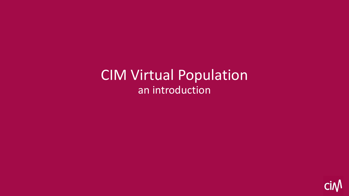CIM Virtual Population an introduction

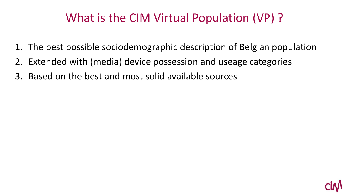### What is the CIM Virtual Population (VP) ?

- 1. The best possible sociodemographic description of Belgian population
- 2. Extended with (media) device possession and useage categories
- 3. Based on the best and most solid available sources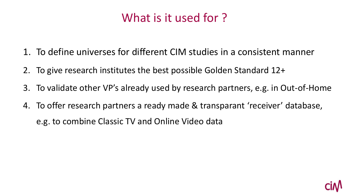# What is it used for ?

- 1. To define universes for different CIM studies in a consistent manner
- 2. To give research institutes the best possible Golden Standard 12+
- 3. To validate other VP's already used by research partners, e.g. in Out-of-Home
- 4. To offer research partners a ready made & transparant 'receiver' database, e.g. to combine Classic TV and Online Video data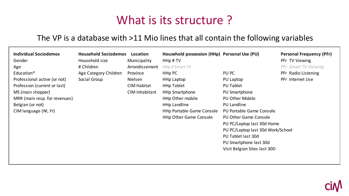### What is its structure?

#### The VP is a database with >11 Mio lines that all contain the following variables

| <b>Individual Sociodemos</b><br>Gender                                                                                                                                               | <b>Household Sociodemos</b><br>Household size<br># Children | Location<br>Municipality<br>Arrondissement                  | Household possession (HHp) Personal Use (PU)<br>HHp#TV<br>HHp # Smart TV                                                                                                                         |                                                                                                                                                                                                                                                                                                                 | <b>Personal Frequency (PFr)</b><br>PFr TV Viewing<br>PFr Smart TV Viewing |
|--------------------------------------------------------------------------------------------------------------------------------------------------------------------------------------|-------------------------------------------------------------|-------------------------------------------------------------|--------------------------------------------------------------------------------------------------------------------------------------------------------------------------------------------------|-----------------------------------------------------------------------------------------------------------------------------------------------------------------------------------------------------------------------------------------------------------------------------------------------------------------|---------------------------------------------------------------------------|
| Age<br>Education*<br>Professional active (or not)<br>Profession (current or last)<br>MS (main shopper)<br>MRR (main resp. for revenues)<br>Belgian (or not)<br>CIM language (NI, Fr) | Age Category Children<br>Social Group                       | Province<br>Nielsen<br><b>CIM Habitat</b><br>CIM Inhabitant | HHp PC<br><b>HHp Laptop</b><br><b>HHp Tablet</b><br><b>HHp Smartphone</b><br><b>HHp Other mobile</b><br><b>HHp Landline</b><br><b>HHp Portable Game Console</b><br><b>HHp Other Game Console</b> | PU PC<br>PU Laptop<br>PU Tablet<br>PU Smartphone<br><b>PU Other Mobile</b><br><b>PU Landline</b><br>PU Portable Game Console<br><b>PU Other Game Console</b><br>PU PC/Laptop last 30d Home<br>PU PC/Laptop last 30d Work/School<br>PU Tablet last 30d<br>PU Smartphone last 30d<br>Visit Belgian Sites last 30D | PFr Radio Listening<br>PFr Internet Use                                   |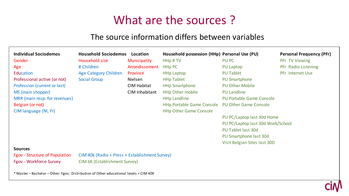# What are the sources ?

#### The source information differs between variables

| <b>Individual Sociodemos</b>                                                          | <b>Household Sociodemos</b>                    | Location           | Household possession (HHp) Personal Use (PU) |                                   | <b>Personal Frequency (PFr)</b> |  |  |  |  |
|---------------------------------------------------------------------------------------|------------------------------------------------|--------------------|----------------------------------------------|-----------------------------------|---------------------------------|--|--|--|--|
| Gender                                                                                | Household size                                 | Municipality       | HHp#TV                                       | PU PC                             | PFr TV Viewing                  |  |  |  |  |
| Age                                                                                   | # Children                                     | Arrondissement     | <b>HHp PC</b>                                | <b>PU Laptop</b>                  | PFr Radio Listening             |  |  |  |  |
| <b>Education</b>                                                                      | <b>Age Category Children</b>                   | Province           | <b>HHp Laptop</b>                            | <b>PU Tablet</b>                  | PFr Internet Use                |  |  |  |  |
| Professional active (or not)                                                          | <b>Social Group</b>                            | Nielsen            | <b>HHp Tablet</b>                            | <b>PU Smartphone</b>              |                                 |  |  |  |  |
| Profession (current or last)                                                          |                                                | <b>CIM Habitat</b> | <b>HHp Smartphone</b>                        | <b>PU Other Mobile</b>            |                                 |  |  |  |  |
| MS (main shopper)                                                                     |                                                | CIM Inhabitant     | <b>HHp Other mobile</b>                      | <b>PU Landline</b>                |                                 |  |  |  |  |
| MRR (main resp. for revenues)                                                         |                                                |                    | <b>HHp Landline</b>                          | <b>PU Portable Game Console</b>   |                                 |  |  |  |  |
| Belgian (or not)                                                                      |                                                |                    | <b>HHp Portable Game Console</b>             | <b>PU Other Game Console</b>      |                                 |  |  |  |  |
| CIM language (NI, Fr)                                                                 |                                                |                    | <b>HHp Other Game Console</b>                |                                   |                                 |  |  |  |  |
|                                                                                       |                                                |                    |                                              | PU PC/Laptop last 30d Home        |                                 |  |  |  |  |
|                                                                                       |                                                |                    |                                              | PU PC/Laptop last 30d Work/School |                                 |  |  |  |  |
|                                                                                       |                                                |                    |                                              | <b>PU Tablet last 30d</b>         |                                 |  |  |  |  |
|                                                                                       |                                                |                    |                                              | PU Smartphone last 30d            |                                 |  |  |  |  |
|                                                                                       |                                                |                    |                                              | Visit Belgian Sites last 30D      |                                 |  |  |  |  |
| <b>Sources</b>                                                                        |                                                |                    |                                              |                                   |                                 |  |  |  |  |
| <b>Fgov - Structure of Population</b>                                                 | CIM 40k (Radio + Press + Establishment Survey) |                    |                                              |                                   |                                 |  |  |  |  |
| Fgov - Workforce Survey                                                               | CIM 6K (Establishment Survey)                  |                    |                                              |                                   |                                 |  |  |  |  |
| * Master - Bachelor - Other: Fgov; Distribution of Other educational levels = CIM 40K |                                                |                    |                                              |                                   |                                 |  |  |  |  |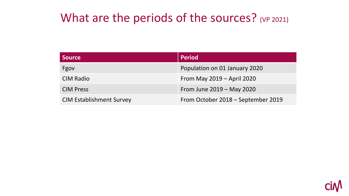#### What are the periods of the sources? (VP 2021)

| Source                          | <b>Period</b>                      |
|---------------------------------|------------------------------------|
| Fgov                            | Population on 01 January 2020      |
| <b>CIM Radio</b>                | From May $2019 -$ April 2020       |
| <b>CIM Press</b>                | From June 2019 - May 2020          |
| <b>CIM Establishment Survey</b> | From October 2018 – September 2019 |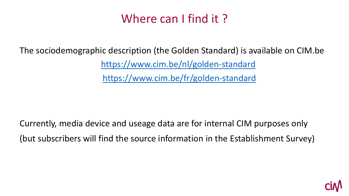# Where can I find it?

The sociodemographic description (the Golden Standard) is available on CIM.be

<https://www.cim.be/nl/golden-standard> <https://www.cim.be/fr/golden-standard>

Currently, media device and useage data are for internal CIM purposes only (but subscribers will find the source information in the Establishment Survey)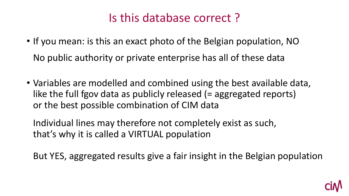### Is this database correct ?

- If you mean: is this an exact photo of the Belgian population, NO No public authority or private enterprise has all of these data
- Variables are modelled and combined using the best available data, like the full fgov data as publicly released (= aggregated reports) or the best possible combination of CIM data

Individual lines may therefore not completely exist as such, that's why it is called a VIRTUAL population

But YES, aggregated results give a fair insight in the Belgian population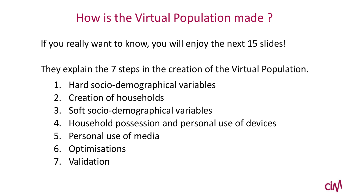#### How is the Virtual Population made ?

If you really want to know, you will enjoy the next 15 slides!

They explain the 7 steps in the creation of the Virtual Population.

- 1. Hard socio-demographical variables
- 2. Creation of households
- 3. Soft socio-demographical variables
- 4. Household possession and personal use of devices
- 5. Personal use of media
- 6. Optimisations
- 7. Validation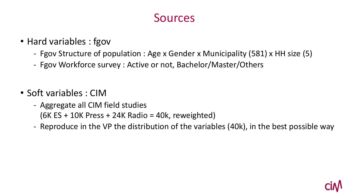#### Sources

- Hard variables : fgov
	- Fgov Structure of population : Age x Gender x Municipality (581) x HH size (5)
	- Fgov Workforce survey : Active or not, Bachelor/Master/Others
- Soft variables : CIM
	- Aggregate all CIM field studies  $(6K ES + 10K Press + 24K Radio = 40k, reweighted)$
	- Reproduce in the VP the distribution of the variables (40k), in the best possible way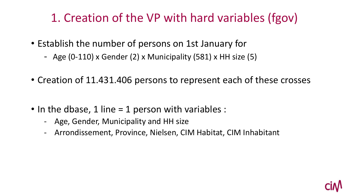# 1. Creation of the VP with hard variables (fgov)

- Establish the number of persons on 1st January for
	- Age (0-110) x Gender (2) x Municipality (581) x HH size (5)
- Creation of 11.431.406 persons to represent each of these crosses
- In the dbase, 1 line  $=$  1 person with variables :
	- Age, Gender, Municipality and HH size
	- Arrondissement, Province, Nielsen, CIM Habitat, CIM Inhabitant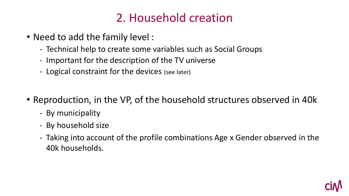### 2. Household creation

- Need to add the family level :
	- Technical help to create some variables such as Social Groups
	- Important for the description of the TV universe
	- Logical constraint for the devices (see later)
- Reproduction, in the VP, of the household structures observed in 40k
	- By municipality
	- By household size
	- Taking into account of the profile combinations Age x Gender observed in the 40k households.

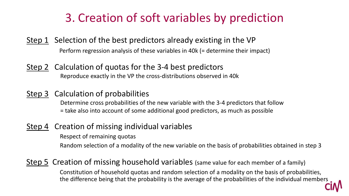### 3. Creation of soft variables by prediction

- Step 1 Selection of the best predictors already existing in the VP Perform regression analysis of these variables in 40k (= determine their impact)
- Step 2 Calculation of quotas for the 3-4 best predictors Reproduce exactly in the VP the cross-distributions observed in 40k
- Step 3 Calculation of probabilities

Determine cross probabilities of the new variable with the 3-4 predictors that follow = take also into account of some additional good predictors, as much as possible

Step 4 Creation of missing individual variables

Respect of remaining quotas Random selection of a modality of the new variable on the basis of probabilities obtained in step 3

Step 5 Creation of missing household variables (same value for each member of a family)

Constitution of household quotas and random selection of a modality on the basis of probabilities, the difference being that the probability is the average of the probabilities of the individual members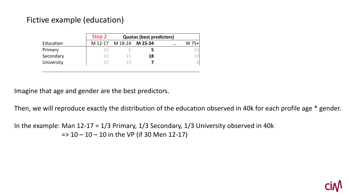#### Fictive example (education)

|            | Step 2  |         | <b>Quotas (best predictors)</b> |          |             |
|------------|---------|---------|---------------------------------|----------|-------------|
| Education  | M 12-17 | M 18-24 | M 25-34                         | $\cdots$ | $W$ 75+     |
| Primary    |         |         |                                 |          | $\Box$<br>- |
| Secondary  | 10      | 15      | 18                              |          | 10          |
| University | 10      | 10      |                                 |          |             |

 $\epsilon$  the best prodictors Imagine that age and gender are the best predictors.

Then, we will reproduce exactly the distribution of the education observed in 40k for each profile age \* gender.

In the example: Man 12-17 = 1/3 Primary, 1/3 Secondary, 1/3 University observed in 40k  $P$  Primarie  $P$  Primaire  $P$  Primaire  $P$  $=$  > 10 – 10 – 10 in the VP (if 30 Men 12-17)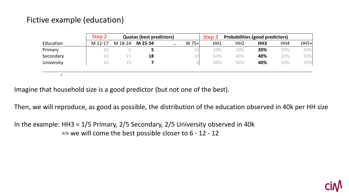#### Fictive example (education)

 $\pmb{\Lambda}$ 

| $W$ 75+<br>HH1<br>M 12-17<br>Education<br>M 18-24<br>M 25-34<br>$\cdots$ | $HH5+$<br>HH4<br>HH <sub>2</sub><br>HH <sub>3</sub> |
|--------------------------------------------------------------------------|-----------------------------------------------------|
|                                                                          |                                                     |
| 10%<br>Primary<br>14<br>10                                               | 30%<br>10%<br>30%<br>20%                            |
| 50%<br>Secondary<br>10<br>15<br>18<br>10<br>ᅩ                            | 50%<br>20%<br>40%<br>40%                            |
| 40%<br>University<br>10<br>10                                            | 20%<br>50%<br>50%<br>40%                            |

primation that not one of the hest)  $\mathcal{P}_1$  : Ho  $\mathcal{P}_2$  TM3 second  $\mathcal{P}_3$  Second 2.4 Second 2.4 Second 2.4 Second 2.4 Second 2.4 Second 2.4 Second 2.4 Second 2.4 Second 2.4 Second 2.4 Second 2.4 Second 2.4 Second 2.4 Second 2.4 Second 2.4 Second 2.4 Imagine that household size is a good predictor (but not one of the best).

Then, we will reproduce, as good as possible, the distribution of the education observed in 40k per HH size

 $\frac{1}{2}$  :  $\frac{1}{2}$   $\frac{1}{2}$   $\frac{1}{2}$   $\frac{1}{2}$   $\frac{1}{2}$   $\frac{1}{2}$   $\frac{1}{2}$   $\frac{1}{2}$   $\frac{1}{2}$   $\frac{1}{2}$   $\frac{1}{2}$   $\frac{1}{2}$   $\frac{1}{2}$   $\frac{1}{2}$   $\frac{1}{2}$   $\frac{1}{2}$   $\frac{1}{2}$   $\frac{1}{2}$   $\frac{1}{2}$   $\frac{1}{2}$   $\frac{1}{2}$ In the example: HH3 = 1/5 Primary, 2/5 Secondary, 2/5 University observed in 40k Primaire 2 Primaire 0,2 => we will come the best possible closer to 6 - 12 - 12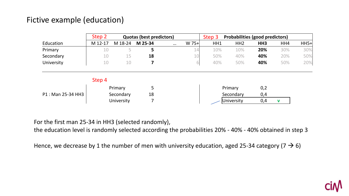#### Fictive example (education)

|                   | Step 2  |            | <b>Quotas (best predictors)</b> |          |         | Step 3 | <b>Probabilities (good predictors)</b> |                 |     |        |
|-------------------|---------|------------|---------------------------------|----------|---------|--------|----------------------------------------|-----------------|-----|--------|
| Education         | M 12-17 | M 18-24    | M 25-34                         | $\cdots$ | $W$ 75+ | HH1    | HH <sub>2</sub>                        | HH <sub>3</sub> | HH4 | $HH5+$ |
| Primary           | 10      |            | 5                               |          | 14      | 10%    | 10%                                    | 20%             | 30% | 30%    |
| Secondary         | 10      | 15         | 18                              |          | 10      | 50%    | 40%                                    | 40%             | 20% | 50%    |
| University        | 10      | 10         |                                 |          |         | 40%    | 50%                                    | 40%             | 50% | 20%    |
|                   | Step 4  |            |                                 |          |         |        |                                        |                 |     |        |
|                   |         | Primary    | 5                               |          |         |        | Primary                                | 0,2             |     |        |
| P1: Man 25-34 HH3 |         | Secondary  | 18                              |          |         |        | Secondary                              | 0,4             |     |        |
|                   |         | University |                                 |          |         |        | University                             | 0,4             | V   |        |

For the first man 25-34 in HH3 (selected randomly),

10 (colocco introduc<sub>i</sub>))<br>uli videnti di esempli e ille e colochiliti e 2004 - 4004 - 4004 - h the education level is randomly selected according the probabilities 20% - 40% - 40% obtained in step 3

Hence, we decrease by 1 the number of men with university education, aged 25-34 category (7  $\rightarrow$  6)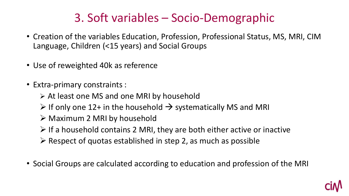# 3. Soft variables – Socio-Demographic

- Creation of the variables Education, Profession, Professional Status, MS, MRI, CIM Language, Children (<15 years) and Social Groups
- Use of reweighted 40k as reference
- Extra-primary constraints :
	- ➢ At least one MS and one MRI by household
	- $\triangleright$  If only one 12+ in the household  $\rightarrow$  systematically MS and MRI
	- ➢ Maximum 2 MRI by household
	- $\triangleright$  If a household contains 2 MRI, they are both either active or inactive
	- $\triangleright$  Respect of quotas established in step 2, as much as possible
- Social Groups are calculated according to education and profession of the MRI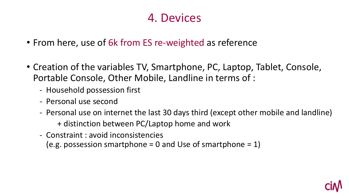#### 4. Devices

- From here, use of 6k from ES re-weighted as reference
- Creation of the variables TV, Smartphone, PC, Laptop, Tablet, Console, Portable Console, Other Mobile, Landline in terms of :
	- Household possession first
	- Personal use second
	- Personal use on internet the last 30 days third (except other mobile and landline) + distinction between PC/Laptop home and work
	- Constraint : avoid inconsistencies

(e.g. possession smartphone  $= 0$  and Use of smartphone  $= 1$ )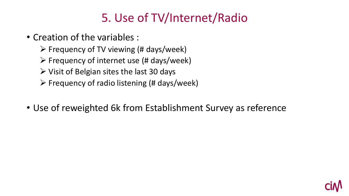# 5. Use of TV/Internet/Radio

- Creation of the variables :
	- $\triangleright$  Frequency of TV viewing (# days/week)
	- $\triangleright$  Frequency of internet use (# days/week)
	- $\triangleright$  Visit of Belgian sites the last 30 days
	- $\triangleright$  Frequency of radio listening (# days/week)
- Use of reweighted 6k from Establishment Survey as reference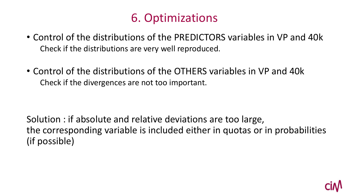# 6. Optimizations

- Control of the distributions of the PREDICTORS variables in VP and 40k Check if the distributions are very well reproduced.
- Control of the distributions of the OTHERS variables in VP and 40k Check if the divergences are not too important.

Solution : if absolute and relative deviations are too large, the corresponding variable is included either in quotas or in probabilities (if possible)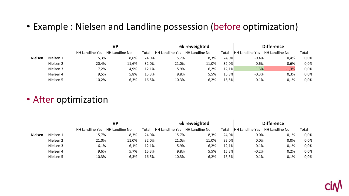#### • Example : Nielsen and Landline possession (before optimization)

|                |           |                        | <b>VP</b>      |       | 6k reweighted          |                | <b>Difference</b> |                        |                |       |
|----------------|-----------|------------------------|----------------|-------|------------------------|----------------|-------------------|------------------------|----------------|-------|
|                |           | <b>HH Landline Yes</b> | HH Landline No | Total | <b>HH Landline Yes</b> | HH Landline No | Total             | <b>HH Landline Yes</b> | HH Landline No | Total |
| <b>Nielsen</b> | Nielsen 1 | 15,3%                  | 8,6%           | 24,0% | 15,7%                  | 8,3%           | 24,0%             | $-0,4%$                | 0,4%           | 0,0%  |
|                | Nielsen 2 | 20,4%                  | 11,6%          | 32,0% | 21,0%                  | 11,0%          | 32,0%             | $-0,6%$                | 0,6%           | 0,0%  |
|                | Nielsen 3 | 7,2%                   | 4,9%           | 12,1% | 5,9%                   | 6,2%           | 12,1%             | 1,3%                   | $-1,3%$        | 0,0%  |
|                | Nielsen 4 | 9,5%                   | 5,8%           | 15,3% | 9,8%                   | 5,5%           | 15,3%             | $-0,3%$                | 0,3%           | 0,0%  |
|                | Nielsen 5 | 10,2%                  | 6,3%           | 16,5% | 10,3%                  | 6,2%           | 16,5%             | $-0,1%$                | 0,1%           | 0,0%  |

#### • After optimization

|                |           |                        | <b>VP</b>             |       | 6k reweighted          |                       | <b>Difference</b> |                        |                |       |
|----------------|-----------|------------------------|-----------------------|-------|------------------------|-----------------------|-------------------|------------------------|----------------|-------|
|                |           | <b>HH Landline Yes</b> | <b>HH Landline No</b> | Total | <b>HH Landline Yes</b> | <b>HH Landline No</b> | Total             | <b>HH Landline Yes</b> | HH Landline No | Total |
| <b>Nielsen</b> | Nielsen 1 | 15,7%                  | 8,3%                  | 24,0% | 15,7%                  | 8,3%                  | 24,0%             | 0,0%                   | 0,1%           | 0,0%  |
|                | Nielsen 2 | 21,0%                  | 11,0%                 | 32,0% | 21,0%                  | 11,0%                 | 32,0%             | 0,0%                   | 0,0%           | 0,0%  |
|                | Nielsen 3 | 6,1%                   | 6,1%                  | 12,1% | 5,9%                   | 6,2%                  | 12,1%             | 0,1%                   | $-0,1%$        | 0,0%  |
|                | Nielsen 4 | 9,6%                   | 5,7%                  | 15,3% | 9,8%                   | 5,5%                  | 15,3%             | $-0,2%$                | 0,2%           | 0,0%  |
|                | Nielsen 5 | 10,3%                  | 6,3%                  | 16,5% | 10,3%                  | 6,2%                  | 16,5%             | $-0,1%$                | 0,1%           | 0,0%  |